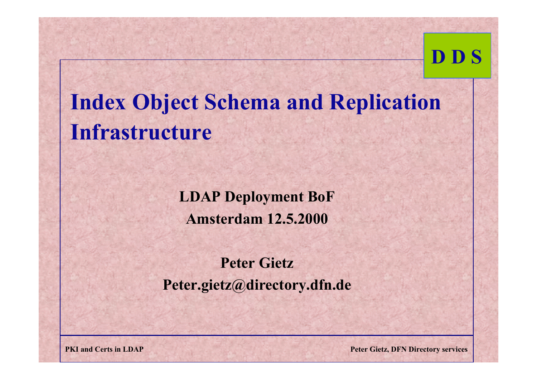# **Index Object Schema and Replication Infrastructure**

**LDAP Deployment BoF Amsterdam 12.5.2000**

#### **Peter GietzPeter.gietz@directory.dfn.de**

**PKI and Certs in LDAP Peter Gietz, DFN Directory services**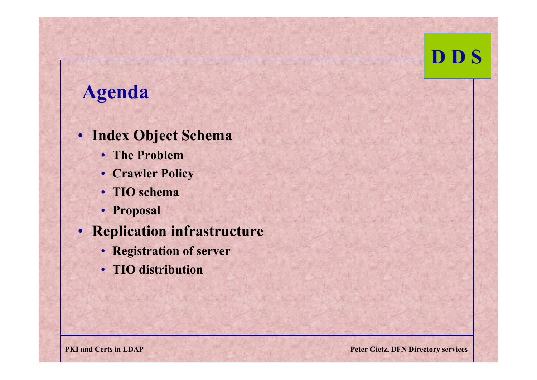#### **Agenda**

- **Index Object Schema** 
	- **The Problem**
	- **Crawler Policy**
	- **TIO schema**
	- **Proposal**
- **Replication infrastructure**
	- **Registration of server**
	- **TIO distribution**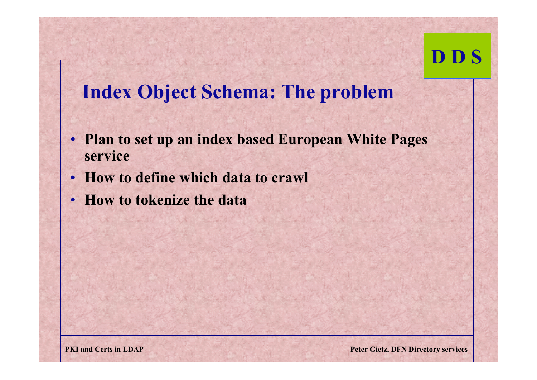#### **Index Object Schema: The problem**

- **Plan to set up an index based European White Pages service**
- **How to define which data to crawl**
- **How to tokenize the data**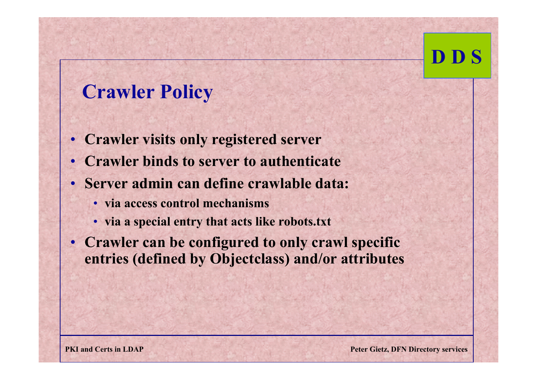#### **Crawler Policy**

- **Crawler visits only registered server**
- •**Crawler binds to server to authenticate**
- **Server admin can define crawlable data:**
	- **via access control mechanisms**
	- **via a special entry that acts like robots.txt**
- **Crawler can be configured to only crawl specific entries (defined by Objectclass) and/or attributes**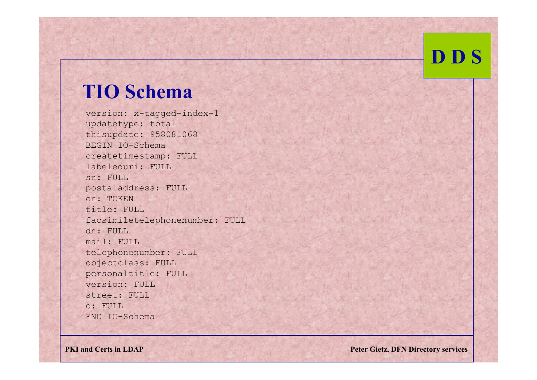#### **TIO Schema**

version: x-tagged-index-1 updatetype: total thisupdate: 958081068 BEGIN IO-Schemacreatetimestamp: FULL labeleduri: FULLsn: FULLpostaladdress: FULL cn: TOKENtitle: FULLfacsimiletelephonenumber: FULL dn: FULL mail: FULL telephonenumber: FULL objectclass: FULL personaltitle: FULL version: FULLstreet: FULLo: FULLEND IO-Schema

**PKI and Certs in LDAP** Peter Gietz, DFN Directory services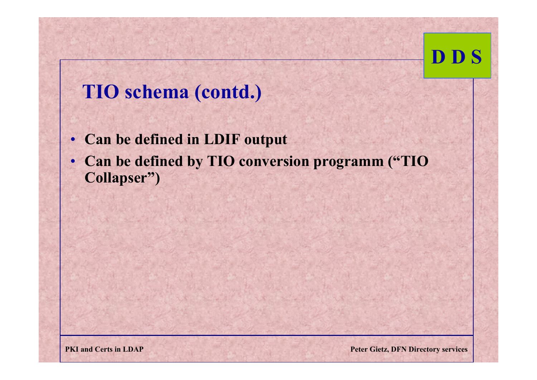#### **TIO schema (contd.)**

- **Can be defined in LDIF output**
- • **Can be defined by TIO conversion programm ("TIO Collapser")**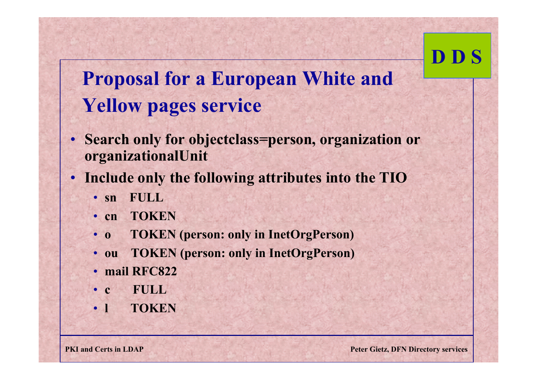### **Proposal for a European White and Yellow pages service**

- **Search only for objectclass=person, organization or organizationalUnit**
- **Include only the following attributes into the TIO**
	- sn **sn FULL**
	- **cn TOKEN**
	- 0 **o TOKEN (person: only in InetOrgPerson)**
	- ou **ou TOKEN (person: only in InetOrgPerson)**
	- **mail RFC822**
	- **c FULL**
	- 1 **l** TOKEN